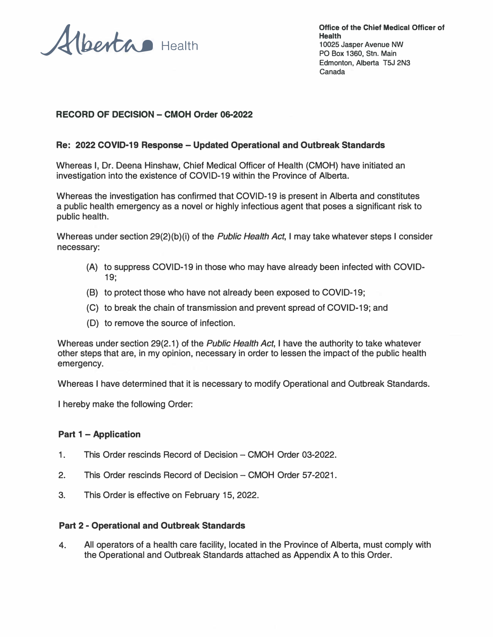Alberta Health

**Office of the Chief Medical Officer of Health 10025 Jasper Avenue NW PO Box 1360, Stn. Main Edmonton, Alberta T5J 2N3 Canada** 

### **RECORD OF DECISION - CMOH Order 06-2022**

#### **Re: 2022 COVID-19 Response - Updated Operational and Outbreak Standards**

Whereas I, Dr. Deena Hinshaw, Chief Medical Officer of Health (CMOH) have initiated an investigation into the existence of COVID-19 within the Province of Alberta.

Whereas the investigation has confirmed that COVID-19 is present in Alberta and constitutes a public health emergency as a novel or highly infectious agent that poses a significant risk to public health.

Whereas under section 29(2)(b)(i) of the *Public Health Act,* I may take whatever steps I consider necessary:

- (A) to suppress COVID-19 in those who may have already been infected with COVID-19;
- (B) to protect those who have not already been exposed to COVID-19;
- (C) to break the chain of transmission and prevent spread of COVID-19; and
- (D) to remove the source of infection.

Whereas under section 29(2.1) of the *Public Health Act,* I have the authority to take whatever other steps that are, in my opinion, necessary in order to lessen the impact of the public health emergency.

Whereas I have determined that it is necessary to modify Operational and Outbreak Standards.

I hereby make the following Order:

#### **Part 1 - Application**

- 1. This Order rescinds Record of Decision CMOH Order 03-2022.
- 2. This Order rescinds Record of Decision CMOH Order 57-2021.
- 3. This Order is effective on February 15, 2022.

#### **Part 2 - Operational and Outbreak Standards**

4. All operators of a health care facility, located in the Province of Alberta, must comply with the Operational and Outbreak Standards attached as Appendix A to this Order.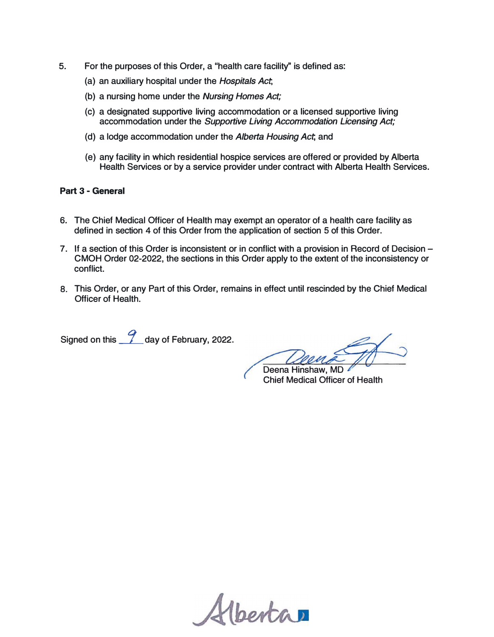- **5. For the purposes of this Order, a "health care facility'' is defined as:**
	- **(a) an auxiliary hospital under the** *Hospitals Act;*
	- **(b) a nursing home under the** *Nursing Homes Act;*
	- **(c) a designated supportive living accommodation or a licensed supportive living accommodation under the** *Supportive Living Accommodation Licensing Act;*
	- **(d) a lodge accommodation under the** *Alberta Housing Act;* **and**
	- **(e) any facility in which residential hospice services are offered or provided by Alberta Health Services or by a service provider under contract with Alberta Health Services.**

#### **Part 3 - General**

- **6. The Chief Medical Officer of Health may exempt an operator of a health care facility as defined in section** 4 **of this Order from the application of section** 5 **of this Order.**
- 7. **If a section of this Order is inconsistent or in conflict with a provision in Record of Decision - CMOH Order 02-2022 , the sections in this Order apply to the extent of the inconsistency or conflict.**
- **8. This Order, or any Part of this Order, remains in effect until rescinded by the Chief Medical Officer of Health.**

**Signed on this** \_f\_ **day of February, 2022 .**

**Deena Hinshaw, MD Chief Medical Officer of Health** 

Hbertan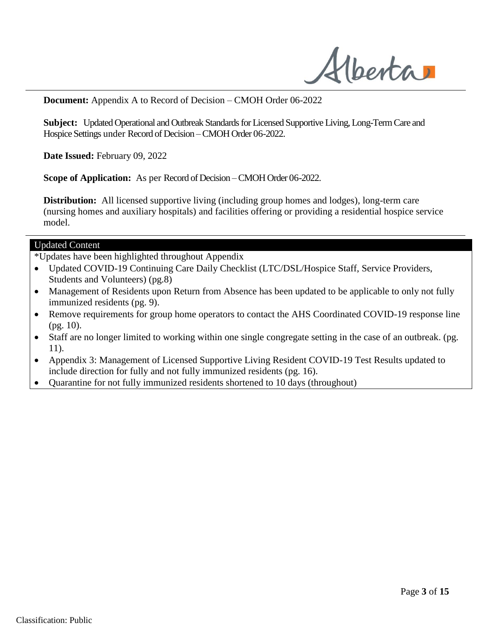Alberta

**Document:** Appendix A to Record of Decision – CMOH Order 06-2022

**Subject:** Updated Operational and Outbreak Standards for Licensed Supportive Living, Long-Term Care and Hospice Settings under Record of Decision –CMOH Order 06-2022.

**Date Issued:** February 09, 2022

**Scope of Application:** As per Record of Decision –CMOH Order 06-2022.

**Distribution:** All licensed supportive living (including group homes and lodges), long-term care (nursing homes and auxiliary hospitals) and facilities offering or providing a residential hospice service model.

#### Updated Content

\*Updates have been highlighted throughout Appendix

- Updated COVID-19 Continuing Care Daily Checklist (LTC/DSL/Hospice Staff, Service Providers, Students and Volunteers) (pg.8)
- Management of Residents upon Return from Absence has been updated to be applicable to only not fully immunized residents (pg. 9).
- Remove requirements for group home operators to contact the AHS Coordinated COVID-19 response line (pg. 10).
- Staff are no longer limited to working within one single congregate setting in the case of an outbreak. (pg. 11).
- Appendix 3: Management of Licensed Supportive Living Resident COVID-19 Test Results updated to include direction for fully and not fully immunized residents (pg. 16).
- Quarantine for not fully immunized residents shortened to 10 days (throughout)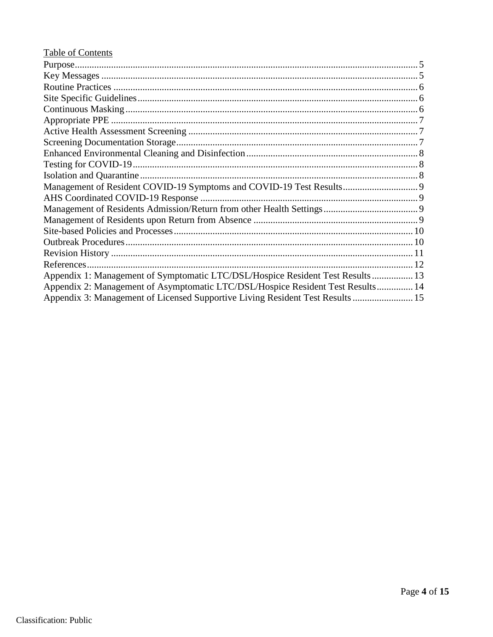| Table of Contents                                                               |  |
|---------------------------------------------------------------------------------|--|
|                                                                                 |  |
|                                                                                 |  |
|                                                                                 |  |
|                                                                                 |  |
|                                                                                 |  |
|                                                                                 |  |
|                                                                                 |  |
|                                                                                 |  |
|                                                                                 |  |
|                                                                                 |  |
|                                                                                 |  |
|                                                                                 |  |
|                                                                                 |  |
|                                                                                 |  |
|                                                                                 |  |
|                                                                                 |  |
|                                                                                 |  |
|                                                                                 |  |
|                                                                                 |  |
| Appendix 1: Management of Symptomatic LTC/DSL/Hospice Resident Test Results  13 |  |
| Appendix 2: Management of Asymptomatic LTC/DSL/Hospice Resident Test Results 14 |  |
| Appendix 3: Management of Licensed Supportive Living Resident Test Results  15  |  |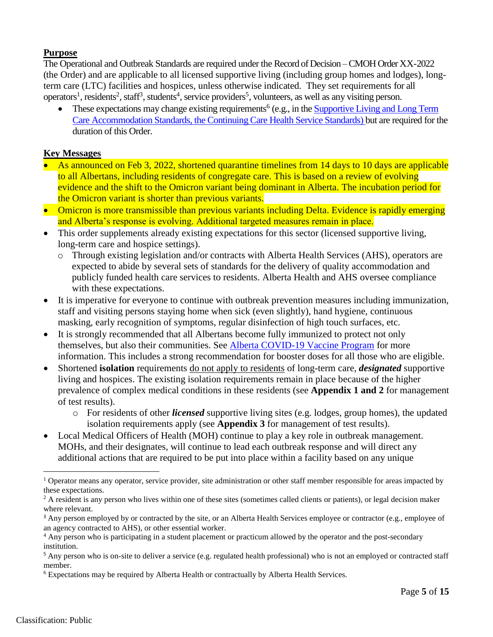## <span id="page-4-0"></span>**Purpose**

The Operational and Outbreak Standards are required under the Record of Decision –CMOH Order XX-2022 (the Order) and are applicable to all licensed supportive living (including group homes and lodges), longterm care (LTC) facilities and hospices, unless otherwise indicated. They set requirements for all operators<sup>1</sup>, residents<sup>2</sup>, staff<sup>3</sup>, students<sup>4</sup>, service providers<sup>5</sup>, volunteers, as well as any visiting person.

• These expectations may change existing requirements<sup>6</sup> (e.g., in the **Supportive Living and Long Term** [Care Accommodation Standards, the Continuing Care Health Service Standards\)](https://www.alberta.ca/continuing-care-accommodation-and-health-service-standards.aspx) but are required for the duration of this Order.

## <span id="page-4-1"></span>**Key Messages**

- As announced on Feb 3, 2022, shortened quarantine timelines from 14 days to 10 days are applicable to all Albertans, including residents of congregate care. This is based on a review of evolving evidence and the shift to the Omicron variant being dominant in Alberta. The incubation period for the Omicron variant is shorter than previous variants.
- Omicron is more transmissible than previous variants including Delta. Evidence is rapidly emerging and Alberta's response is evolving. Additional targeted measures remain in place.
- This order supplements already existing [expectations](https://www.alberta.ca/continuing-care-accommodation-and-health-service-standards.aspx) for this sector (licensed supportive living, long-term care and hospice settings).
	- o Through existing legislation and/or contracts with Alberta Health Services (AHS), operators are expected to abide by several sets of standards for the delivery of quality accommodation and publicly funded health care services to residents. Alberta Health and AHS oversee compliance with these expectations.
- It is imperative for everyone to continue with outbreak prevention measures including immunization, staff and visiting persons staying home when sick (even slightly), hand hygiene, continuous masking, early recognition of symptoms, regular disinfection of high touch surfaces, etc.
- It is strongly recommended that all Albertans become fully immunized to protect not only themselves, but also their communities. See [Alberta COVID-19 Vaccine Program](https://www.alberta.ca/covid19-vaccine.aspx) for more information. This includes a strong recommendation for booster doses for all those who are eligible.
- Shortened **isolation** requirements do not apply to residents of long-term care, *designated* supportive living and hospices. The existing isolation requirements remain in place because of the higher prevalence of complex medical conditions in these residents (see **Appendix 1 and 2** for management of test results).
	- o For residents of other *licensed* supportive living sites (e.g. lodges, group homes), the updated isolation requirements apply (see **Appendix 3** for management of test results).
- Local Medical Officers of Health (MOH) continue to play a key role in outbreak management. MOHs, and their designates, will continue to lead each outbreak response and will direct any additional actions that are required to be put into place within a facility based on any unique

<sup>&</sup>lt;sup>1</sup> Operator means any operator, service provider, site administration or other staff member responsible for areas impacted by these expectations.

 $2$  A resident is any person who lives within one of these sites (sometimes called clients or patients), or legal decision maker where relevant.

<sup>&</sup>lt;sup>3</sup> Any person employed by or contracted by the site, or an Alberta Health Services employee or contractor (e.g., employee of an agency contracted to AHS), or other essential worker.

<sup>&</sup>lt;sup>4</sup> Any person who is participating in a student placement or practicum allowed by the operator and the post-secondary institution.

<sup>&</sup>lt;sup>5</sup> Any person who is on-site to deliver a service (e.g. regulated health professional) who is not an employed or contracted staff member.

<sup>6</sup> Expectations may be required by Alberta Health or contractually by Alberta Health Services.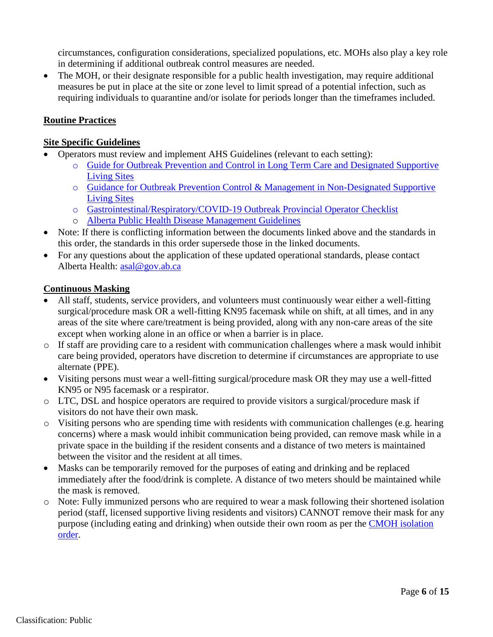circumstances, configuration considerations, specialized populations, etc. MOHs also play a key role in determining if additional outbreak control measures are needed.

• The MOH, or their designate responsible for a public health investigation, may require additional measures be put in place at the site or zone level to limit spread of a potential infection, such as requiring individuals to quarantine and/or isolate for periods longer than the timeframes included.

## <span id="page-5-0"></span>**Routine Practices**

#### <span id="page-5-1"></span>**Site Specific Guidelines**

- Operators must review and implement AHS Guidelines (relevant to each setting):
	- o [Guide for Outbreak Prevention and Control in Long Term Care and Designated Supportive](https://can01.safelinks.protection.outlook.com/?url=https%3A%2F%2Fwww.albertahealthservices.ca%2Fassets%2Fhealthinfo%2Fflu%2Fhi-flu-prov-hlsl.pdf&data=04%7C01%7Callison.lacey%40gov.ab.ca%7Ccb4c62b6a300414796c608d9c636ec07%7C2bb51c06af9b42c58bf53c3b7b10850b%7C0%7C0%7C637758761926792212%7CUnknown%7CTWFpbGZsb3d8eyJWIjoiMC4wLjAwMDAiLCJQIjoiV2luMzIiLCJBTiI6Ik1haWwiLCJXVCI6Mn0%3D%7C3000&sdata=s15R%2FLTdUFo7bGqcvNVI%2FuSQOKRLSwpN%2BI4FUJTCZ6I%3D&reserved=0) [Living Sites](https://can01.safelinks.protection.outlook.com/?url=https%3A%2F%2Fwww.albertahealthservices.ca%2Fassets%2Fhealthinfo%2Fflu%2Fhi-flu-prov-hlsl.pdf&data=04%7C01%7Callison.lacey%40gov.ab.ca%7Ccb4c62b6a300414796c608d9c636ec07%7C2bb51c06af9b42c58bf53c3b7b10850b%7C0%7C0%7C637758761926792212%7CUnknown%7CTWFpbGZsb3d8eyJWIjoiMC4wLjAwMDAiLCJQIjoiV2luMzIiLCJBTiI6Ik1haWwiLCJXVCI6Mn0%3D%7C3000&sdata=s15R%2FLTdUFo7bGqcvNVI%2FuSQOKRLSwpN%2BI4FUJTCZ6I%3D&reserved=0)
	- o [Guidance for Outbreak Prevention Control & Management in Non-Designated Supportive](https://can01.safelinks.protection.outlook.com/?url=https%3A%2F%2Fwww.albertahealthservices.ca%2Fassets%2Fhealthinfo%2Fflu%2Fhi-flu-care-and-treat-guidelines.pdf&data=04%7C01%7Callison.lacey%40gov.ab.ca%7Ccb4c62b6a300414796c608d9c636ec07%7C2bb51c06af9b42c58bf53c3b7b10850b%7C0%7C0%7C637758761926792212%7CUnknown%7CTWFpbGZsb3d8eyJWIjoiMC4wLjAwMDAiLCJQIjoiV2luMzIiLCJBTiI6Ik1haWwiLCJXVCI6Mn0%3D%7C3000&sdata=U1JPG5RZ9X200YsIAScKoeyWJ%2FYAG075JRtIONX228E%3D&reserved=0) [Living Sites](https://can01.safelinks.protection.outlook.com/?url=https%3A%2F%2Fwww.albertahealthservices.ca%2Fassets%2Fhealthinfo%2Fflu%2Fhi-flu-care-and-treat-guidelines.pdf&data=04%7C01%7Callison.lacey%40gov.ab.ca%7Ccb4c62b6a300414796c608d9c636ec07%7C2bb51c06af9b42c58bf53c3b7b10850b%7C0%7C0%7C637758761926792212%7CUnknown%7CTWFpbGZsb3d8eyJWIjoiMC4wLjAwMDAiLCJQIjoiV2luMzIiLCJBTiI6Ik1haWwiLCJXVCI6Mn0%3D%7C3000&sdata=U1JPG5RZ9X200YsIAScKoeyWJ%2FYAG075JRtIONX228E%3D&reserved=0)
	- o [Gastrointestinal/Respiratory/COVID-19 Outbreak Provincial Operator Checklist](https://can01.safelinks.protection.outlook.com/?url=https%3A%2F%2Fwww.albertahealthservices.ca%2Fassets%2Fhealthinfo%2Fipc%2Fhi-ipc-prov-gi-resp-operators-checklist.pdf&data=04%7C01%7Callison.lacey%40gov.ab.ca%7Ccb4c62b6a300414796c608d9c636ec07%7C2bb51c06af9b42c58bf53c3b7b10850b%7C0%7C0%7C637758761926792212%7CUnknown%7CTWFpbGZsb3d8eyJWIjoiMC4wLjAwMDAiLCJQIjoiV2luMzIiLCJBTiI6Ik1haWwiLCJXVCI6Mn0%3D%7C3000&sdata=SwKWHH5BiOP4q2FP7V9Tcu60zHf8ClHs37LLEdYk7jE%3D&reserved=0)
	- o [Alberta Public Health Disease Management Guidelines](https://open.alberta.ca/publications/coronavirus-covid-19)
- Note: If there is conflicting information between the documents linked above and the standards in this order, the standards in this order supersede those in the linked documents.
- For any questions about the application of these updated operational standards, please contact Alberta Health: [asal@gov.ab.ca](mailto:asal@gov.ab.ca)

#### <span id="page-5-2"></span>**Continuous Masking**

- All staff, students, service providers, and volunteers must continuously wear either a well-fitting surgical/procedure mask OR a well-fitting KN95 facemask while on shift, at all times, and in any areas of the site where care/treatment is being provided, along with any non-care areas of the site except when working alone in an office or when a barrier is in place.
- o If staff are providing care to a resident with communication challenges where a mask would inhibit care being provided, operators have discretion to determine if circumstances are appropriate to use alternate (PPE).
- Visiting persons must wear a well-fitting surgical/procedure mask OR they may use a well-fitted KN95 or N95 facemask or a respirator.
- o LTC, DSL and hospice operators are required to provide visitors a surgical/procedure mask if visitors do not have their own mask.
- o Visiting persons who are spending time with residents with communication challenges (e.g. hearing concerns) where a mask would inhibit communication being provided, can remove mask while in a private space in the building if the resident consents and a distance of two meters is maintained between the visitor and the resident at all times.
- Masks can be temporarily removed for the purposes of eating and drinking and be replaced immediately after the food/drink is complete. A distance of two meters should be maintained while the mask is removed.
- <span id="page-5-3"></span>o Note: Fully immunized persons who are required to wear a mask following their shortened isolation period (staff, licensed supportive living residents and visitors) CANNOT remove their mask for any purpose (including eating and drinking) when outside their own room as per the [CMOH isolation](https://www.alberta.ca/isolation.aspx) [order.](https://www.alberta.ca/isolation.aspx)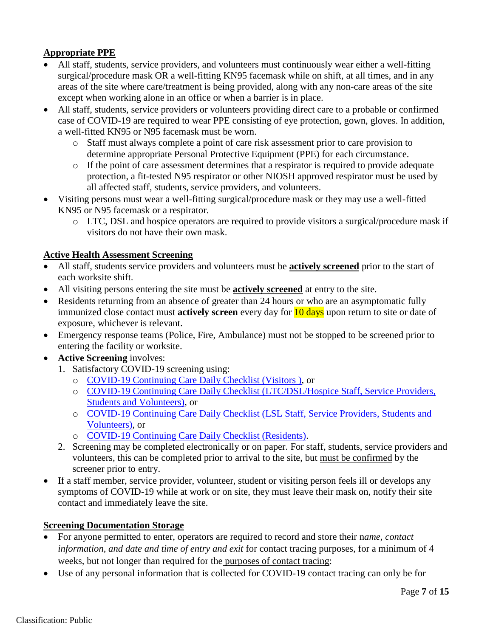# **Appropriate PPE**

- All staff, students, service providers, and volunteers must continuously wear either a well-fitting surgical/procedure mask OR a well-fitting KN95 facemask while on shift, at all times, and in any areas of the site where care/treatment is being provided, along with any non-care areas of the site except when working alone in an office or when a barrier is in place.
- All staff, students, service providers or volunteers providing direct care to a probable or confirmed case of COVID-19 are required to wear PPE consisting of eye protection, gown, gloves. In addition, a well-fitted KN95 or N95 facemask must be worn.
	- o Staff must always complete a point of care risk assessment prior to care provision to determine appropriate Personal Protective Equipment (PPE) for each circumstance.
	- o If the point of care assessment determines that a respirator is required to provide adequate protection, a fit-tested N95 respirator or other NIOSH approved respirator must be used by all affected staff, students, service providers, and volunteers.
- Visiting persons must wear a well-fitting surgical/procedure mask or they may use a well-fitted KN95 or N95 facemask or a respirator.
	- o LTC, DSL and hospice operators are required to provide visitors a surgical/procedure mask if visitors do not have their own mask.

## <span id="page-6-0"></span>**Active Health Assessment Screening**

- All staff, students service providers and volunteers must be **actively screened** prior to the start of each worksite shift.
- All visiting persons entering the site must be **actively screened** at entry to the site.
- Residents returning from an absence of greater than 24 hours or who are an asymptomatic fully immunized close contact must **actively screen** every day for 10 days upon return to site or date of exposure, whichever is relevant.
- Emergency response teams (Police, Fire, Ambulance) must not be stopped to be screened prior to entering the facility or worksite.
- **Active Screening** involves:
	- 1. Satisfactory COVID-19 screening using:
		- o [COVID-19 Continuing Care Daily Checklist \(Visitors \)](https://open.alberta.ca/publications/covid-19-information-alberta-health-daily-checklist), or
		- o [COVID-19 Continuing Care Daily Checklist \(LTC/DSL/Hospice Staff, Service Providers,](https://open.alberta.ca/publications/covid-19-information-alberta-health-daily-checklist) Students [and Volunteers\),](https://open.alberta.ca/publications/covid-19-information-alberta-health-daily-checklist) or
		- o [COVID-19 Continuing Care Daily Checklist \(LSL Staff, Service Providers, Students](https://open.alberta.ca/publications/covid-19-information-alberta-health-daily-checklist) and [Volunteers\),](https://open.alberta.ca/publications/covid-19-information-alberta-health-daily-checklist) or
		- o [COVID-19 Continuing Care Daily Checklist \(Residents\).](https://open.alberta.ca/publications/covid-19-information-alberta-health-daily-checklist)
	- 2. Screening may be completed electronically or on paper. For staff, students, service providers and volunteers, this can be completed prior to arrival to the site, but must be confirmed by the screener prior to entry.
- If a staff member, service provider, volunteer, student or visiting person feels ill or develops any symptoms of COVID-19 while at work or on site, they must leave their mask on, notify their site contact and immediately leave the site.

#### <span id="page-6-1"></span>**Screening Documentation Storage**

- For anyone permitted to enter, operators are required to record and store their n*ame, contact information, and date and time of entry and exit for contact tracing purposes, for a minimum of 4* weeks, but not longer than required for the purposes of contact tracing:
- Use of any personal information that is collected for COVID-19 contact tracing can only be for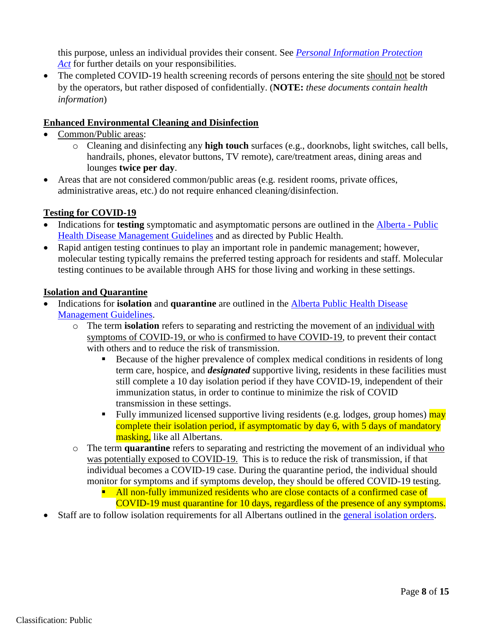this purpose, unless an individual provides their consent. See *[Personal Information Protection](https://www.alberta.ca/collecting-personal-information.aspx)  [Act](https://www.alberta.ca/collecting-personal-information.aspx)* for further details on your responsibilities.

• The completed COVID-19 health screening records of persons entering the site should not be stored by the operators, but rather disposed of confidentially. (**NOTE:** *these documents contain health information*)

## <span id="page-7-0"></span>**Enhanced Environmental Cleaning and Disinfection**

- Common/Public areas:
	- o Cleaning and disinfecting any **high touch** surfaces (e.g., doorknobs, light switches, call bells, handrails, phones, elevator buttons, TV remote), care/treatment areas, dining areas and lounges **twice per day**.
- Areas that are not considered common/public areas (e.g. resident rooms, private offices, administrative areas, etc.) do not require enhanced cleaning/disinfection.

## <span id="page-7-1"></span>**Testing for COVID-19**

- Indications for **testing** symptomatic and asymptomatic persons are outlined in the [Alberta](https://open.alberta.ca/publications/coronavirus-covid-19) Public [Health Disease Management Guidelines](https://open.alberta.ca/publications/coronavirus-covid-19) and as directed by Public Health.
- Rapid antigen testing continues to play an important role in pandemic management; however, molecular testing typically remains the preferred testing approach for residents and staff. Molecular testing continues to be available through AHS for those living and working in these settings.

#### <span id="page-7-2"></span>**Isolation and Quarantine**

- Indications for **isolation** and **quarantine** are outlined in the [Alberta Public Health Disease](https://open.alberta.ca/publications/coronavirus-covid-19) [Management Guidelines.](https://open.alberta.ca/publications/coronavirus-covid-19)
	- o The term **isolation** refers to separating and restricting the movement of an individual with symptoms of COVID-19, or who is confirmed to have COVID-19, to prevent their contact with others and to reduce the risk of transmission.
		- Because of the higher prevalence of complex medical conditions in residents of long term care, hospice, and *designated* supportive living, residents in these facilities must still complete a 10 day isolation period if they have COVID-19, independent of their immunization status, in order to continue to minimize the risk of COVID transmission in these settings.
		- Fully immunized licensed supportive living residents (e.g. lodges, group homes) may complete their isolation period, if asymptomatic by day 6, with 5 days of mandatory masking, like all Albertans.
	- o The term **quarantine** refers to separating and restricting the movement of an individual who was potentially exposed to COVID-19. This is to reduce the risk of transmission, if that individual becomes a COVID-19 case. During the quarantine period, the individual should monitor for symptoms and if symptoms develop, they should be offered COVID-19 testing.
		- $\blacksquare$  All non-fully immunized residents who are close contacts of a confirmed case of COVID-19 must quarantine for 10 days, regardless of the presence of any symptoms.
- <span id="page-7-3"></span>Staff are to follow isolation requirements for all Albertans outlined in the [general isolation orders.](https://www.alberta.ca/isolation.aspx)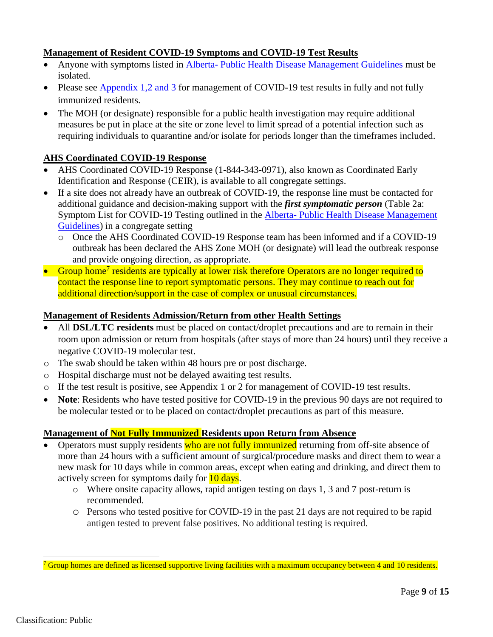## **Management of Resident COVID-19 Symptoms and COVID-19 Test Results**

- Anyone with symptoms listed in Alberta- Public Health [Disease Management Guidelines](https://open.alberta.ca/publications/coronavirus-covid-19) must be isolated.
- Please see [Appendix 1,2 and 3](#page-12-0) for management of COVID-19 test results in fully and not fully immunized residents.
- The MOH (or designate) responsible for a public health investigation may require additional measures be put in place at the site or zone level to limit spread of a potential infection such as requiring individuals to quarantine and/or isolate for periods longer than the timeframes included.

### <span id="page-8-0"></span>**AHS Coordinated COVID-19 Response**

- AHS Coordinated COVID-19 Response (1-844-343-0971), also known as Coordinated Early Identification and Response (CEIR), is available to all congregate settings.
- If a site does not already have an outbreak of COVID-19, the response line must be contacted for additional guidance and decision-making support with the *first symptomatic person* (Table 2a: Symptom List for COVID-19 Testing outlined in the Alberta- [Public Health Disease Management](https://open.alberta.ca/publications/coronavirus-covid-19) [Guidelines\)](https://open.alberta.ca/publications/coronavirus-covid-19) in a congregate setting
	- o Once the AHS Coordinated COVID-19 Response team has been informed and if a COVID-19 outbreak has been declared the AHS Zone MOH (or designate) will lead the outbreak response and provide ongoing direction, as appropriate.
- Group home<sup>7</sup> residents are typically at lower risk therefore Operators are no longer required to contact the response line to report symptomatic persons. They may continue to reach out for additional direction/support in the case of complex or unusual circumstances.

#### <span id="page-8-1"></span>**Management of Residents Admission/Return from other Health Settings**

- All **DSL/LTC residents** must be placed on contact/droplet precautions and are to remain in their room upon admission or return from hospitals (after stays of more than 24 hours) until they receive a negative COVID-19 molecular test.
- o The swab should be taken within 48 hours pre or post discharge.
- o Hospital discharge must not be delayed awaiting test results.
- o If the test result is positive, see Appendix 1 or 2 for management of COVID-19 test results.
- **Note**: Residents who have tested positive for COVID-19 in the previous 90 days are not required to be molecular tested or to be placed on contact/droplet precautions as part of this measure.

#### <span id="page-8-2"></span>**Management of Not Fully Immunized Residents upon Return from Absence**

- Operators must supply residents who are not fully immunized returning from off-site absence of more than 24 hours with a sufficient amount of surgical/procedure masks and direct them to wear a new mask for 10 days while in common areas, except when eating and drinking, and direct them to actively screen for symptoms daily for 10 days.
	- o Where onsite capacity allows, rapid antigen testing on days 1, 3 and 7 post-return is recommended.
	- o Persons who tested positive for COVID-19 in the past 21 days are not required to be rapid antigen tested to prevent false positives. No additional testing is required.

Group homes are defined as licensed supportive living facilities with a maximum occupancy between 4 and 10 residents.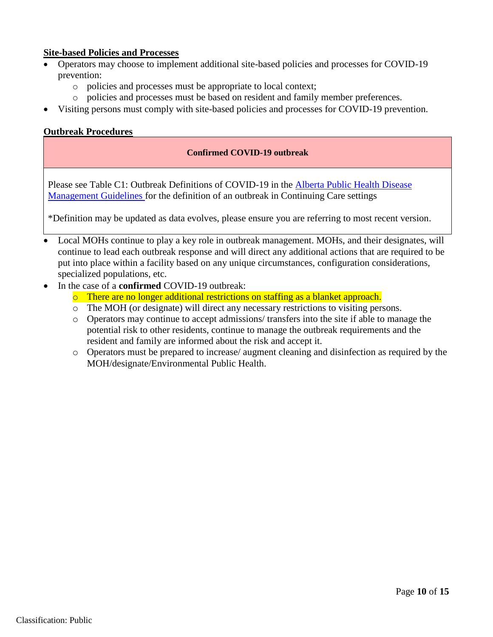### <span id="page-9-0"></span>**Site-based Policies and Processes**

- Operators may choose to implement additional site-based policies and processes for COVID-19 prevention:
	- o policies and processes must be appropriate to local context;
	- o policies and processes must be based on resident and family member preferences.
- Visiting persons must comply with site-based policies and processes for COVID-19 prevention.

### <span id="page-9-1"></span>**Outbreak Procedures**

#### **Confirmed COVID-19 outbreak**

Please see Table C1: Outbreak Definitions of COVID-19 in the Alberta [Public Health Disease](https://open.alberta.ca/publications/coronavirus-covid-19)  [Management Guidelines](https://open.alberta.ca/publications/coronavirus-covid-19) for the definition of an outbreak in Continuing Care settings

\*Definition may be updated as data evolves, please ensure you are referring to most recent version.

- Local MOHs continue to play a key role in outbreak management. MOHs, and their designates, will continue to lead each outbreak response and will direct any additional actions that are required to be put into place within a facility based on any unique circumstances, configuration considerations, specialized populations, etc.
- <span id="page-9-2"></span> In the case of a **confirmed** COVID-19 outbreak:
	- o There are no longer additional restrictions on staffing as a blanket approach.
	- o The MOH (or designate) will direct any necessary restrictions to visiting persons.
	- o Operators may continue to accept admissions/ transfers into the site if able to manage the potential risk to other residents, continue to manage the outbreak requirements and the resident and family are informed about the risk and accept it.
	- o Operators must be prepared to increase/ augment cleaning and disinfection as required by the MOH/designate/Environmental Public Health.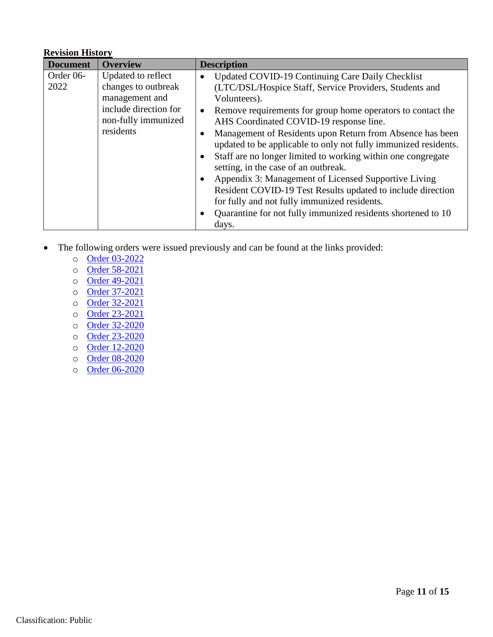### **Revision History**

| <b>Document</b> | <b>Overview</b>                                                                     | <b>Description</b>                                                       |
|-----------------|-------------------------------------------------------------------------------------|--------------------------------------------------------------------------|
| Order 06-       | Updated to reflect                                                                  | Updated COVID-19 Continuing Care Daily Checklist                         |
| 2022            | changes to outbreak                                                                 | (LTC/DSL/Hospice Staff, Service Providers, Students and                  |
|                 | management and                                                                      | Volunteers).                                                             |
|                 | include direction for<br>non-fully immunized<br>residents<br>$\bullet$<br>$\bullet$ | Remove requirements for group home operators to contact the<br>$\bullet$ |
|                 |                                                                                     | AHS Coordinated COVID-19 response line.                                  |
|                 |                                                                                     | Management of Residents upon Return from Absence has been                |
|                 |                                                                                     | updated to be applicable to only not fully immunized residents.          |
|                 |                                                                                     | Staff are no longer limited to working within one congregate             |
|                 |                                                                                     | setting, in the case of an outbreak.                                     |
|                 |                                                                                     | Appendix 3: Management of Licensed Supportive Living                     |
|                 |                                                                                     | Resident COVID-19 Test Results updated to include direction              |
|                 |                                                                                     | for fully and not fully immunized residents.                             |
|                 |                                                                                     | Quarantine for not fully immunized residents shortened to 10             |
|                 |                                                                                     | days.                                                                    |

- The following orders were issued previously and can be found at the links provided:
	- o [Order 03-2022](https://open.alberta.ca/publications/cmoh-order-03-2022)
	- o [Order 58-2021](https://open.alberta.ca/dataset/fa1753d5-ad6c-4678-9f43-aef7840b9af0/resource/4fcbcd1c-299a-4782-b731-a1d9b1124951/download/health-cmoh-record-of-decision-cmoh-order-58-2021.pdf)
	- o [Order 49-2021](https://open.alberta.ca/dataset/7714c8ce-aa59-4298-b39f-0d6ff616aafd/resource/2b2df597-94cf-4696-95ff-8679570f1545/download/health-cmoh-record-of-decision-cmoh-order-49-2021.pdf)
	- o [Order 37-2021](https://open.alberta.ca/publications/cmoh-order-37-2021)
	- o [Order 32-2021](https://open.alberta.ca/publications/cmoh-order-32-2021)
	- o [Order 23-2021](https://open.alberta.ca/publications/cmoh-order-23-2021)
	- o [Order 32-2020](https://open.alberta.ca/publications/cmoh-order-32-2020-which-amends-cmoh-order-10-2020-covid-19-response)
	- o [Order 23-2020](https://open.alberta.ca/publications/cmoh-order-23-2020-2020-covid-19-response)
	- o [Order 12-2020](https://open.alberta.ca/publications/cmoh-order-12-2020-2020-covid-19-response)
	- o [Order 08-2020](https://open.alberta.ca/publications/cmoh-order-08-2020-2020-covid-19-response)
	- o [Order 06-2020](https://open.alberta.ca/publications/cmoh-order-06-2020-2020-covid-19-response)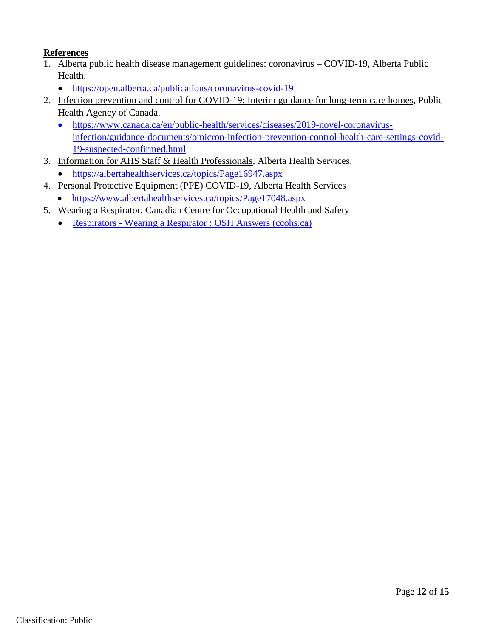# <span id="page-11-0"></span>**References**

- 1. Alberta public health disease management guidelines: coronavirus COVID-19, Alberta Public Health.
	- <https://open.alberta.ca/publications/coronavirus-covid-19>
- 2. Infection prevention and control for COVID-19: Interim guidance for long-term care homes, Public Health Agency of Canada.
	- [https://www.canada.ca/en/public-health/services/diseases/2019-novel-coronavirus](https://www.canada.ca/en/public-health/services/diseases/2019-novel-coronavirus-infection/guidance-documents/omicron-infection-prevention-control-health-care-settings-covid-19-suspected-confirmed.html)[infection/guidance-documents/omicron-infection-prevention-control-health-care-settings-covid-](https://www.canada.ca/en/public-health/services/diseases/2019-novel-coronavirus-infection/guidance-documents/omicron-infection-prevention-control-health-care-settings-covid-19-suspected-confirmed.html)[19-suspected-confirmed.html](https://www.canada.ca/en/public-health/services/diseases/2019-novel-coronavirus-infection/guidance-documents/omicron-infection-prevention-control-health-care-settings-covid-19-suspected-confirmed.html)
- 3. Information for AHS Staff & Health Professionals, Alberta Health Services.
	- <https://albertahealthservices.ca/topics/Page16947.aspx>
- 4. Personal Protective Equipment (PPE) COVID-19, Alberta Health Services
	- <https://www.albertahealthservices.ca/topics/Page17048.aspx>
- 5. Wearing a Respirator, Canadian Centre for Occupational Health and Safety
	- Respirators [Wearing a Respirator : OSH Answers \(ccohs.ca\)](https://www.ccohs.ca/oshanswers/prevention/ppe/wearing.html?=undefined&wbdisable=true)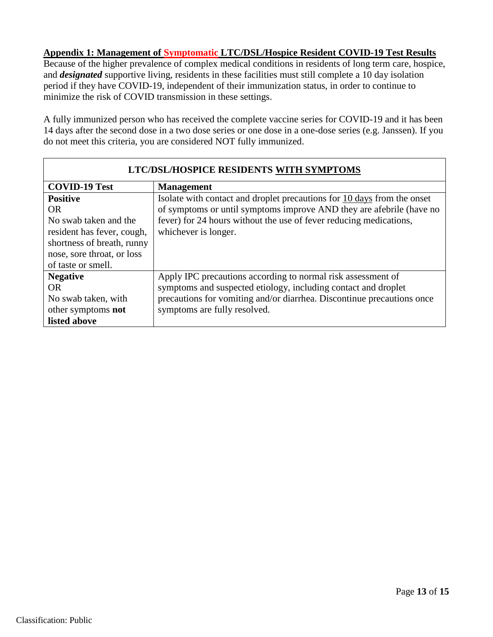### <span id="page-12-0"></span>**Appendix 1: Management of Symptomatic LTC/DSL/Hospice Resident COVID-19 Test Results**

Because of the higher prevalence of complex medical conditions in residents of long term care, hospice, and *designated* supportive living, residents in these facilities must still complete a 10 day isolation period if they have COVID-19, independent of their immunization status, in order to continue to minimize the risk of COVID transmission in these settings.

A fully immunized person who has received the complete vaccine series for COVID-19 and it has been 14 days after the second dose in a two dose series or one dose in a one-dose series (e.g. Janssen). If you do not meet this criteria, you are considered NOT fully immunized.

| LTC/DSL/HOSPICE RESIDENTS WITH SYMPTOMS |                                                                         |  |  |  |  |
|-----------------------------------------|-------------------------------------------------------------------------|--|--|--|--|
| <b>COVID-19 Test</b>                    | <b>Management</b>                                                       |  |  |  |  |
| <b>Positive</b>                         | Isolate with contact and droplet precautions for 10 days from the onset |  |  |  |  |
| <b>OR</b>                               | of symptoms or until symptoms improve AND they are afebrile (have no    |  |  |  |  |
| No swab taken and the                   | fever) for 24 hours without the use of fever reducing medications,      |  |  |  |  |
| resident has fever, cough,              | whichever is longer.                                                    |  |  |  |  |
| shortness of breath, runny              |                                                                         |  |  |  |  |
| nose, sore throat, or loss              |                                                                         |  |  |  |  |
| of taste or smell.                      |                                                                         |  |  |  |  |
| <b>Negative</b>                         | Apply IPC precautions according to normal risk assessment of            |  |  |  |  |
| <b>OR</b>                               | symptoms and suspected etiology, including contact and droplet          |  |  |  |  |
| No swab taken, with                     | precautions for vomiting and/or diarrhea. Discontinue precautions once  |  |  |  |  |
| other symptoms <b>not</b>               | symptoms are fully resolved.                                            |  |  |  |  |
| listed above                            |                                                                         |  |  |  |  |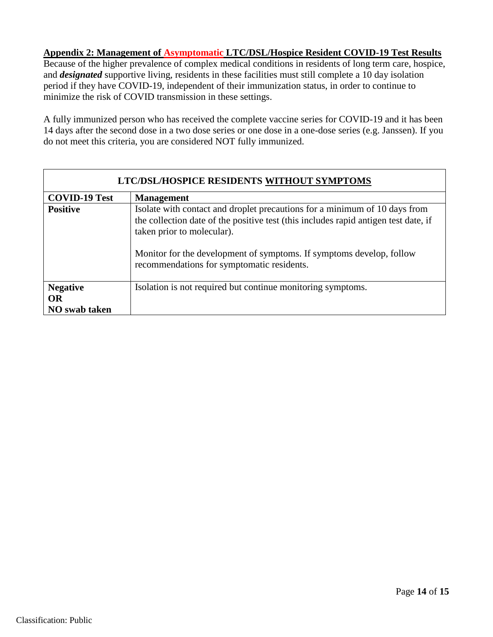### <span id="page-13-0"></span>**Appendix 2: Management of Asymptomatic LTC/DSL/Hospice Resident COVID-19 Test Results**

Because of the higher prevalence of complex medical conditions in residents of long term care, hospice, and *designated* supportive living, residents in these facilities must still complete a 10 day isolation period if they have COVID-19, independent of their immunization status, in order to continue to minimize the risk of COVID transmission in these settings.

A fully immunized person who has received the complete vaccine series for COVID-19 and it has been 14 days after the second dose in a two dose series or one dose in a one-dose series (e.g. Janssen). If you do not meet this criteria, you are considered NOT fully immunized.

| LTC/DSL/HOSPICE RESIDENTS WITHOUT SYMPTOMS |                                                                                                                                                                                                                                                                                                                       |  |  |  |  |  |
|--------------------------------------------|-----------------------------------------------------------------------------------------------------------------------------------------------------------------------------------------------------------------------------------------------------------------------------------------------------------------------|--|--|--|--|--|
| <b>COVID-19 Test</b>                       | <b>Management</b>                                                                                                                                                                                                                                                                                                     |  |  |  |  |  |
| <b>Positive</b>                            | Isolate with contact and droplet precautions for a minimum of 10 days from<br>the collection date of the positive test (this includes rapid antigen test date, if<br>taken prior to molecular).<br>Monitor for the development of symptoms. If symptoms develop, follow<br>recommendations for symptomatic residents. |  |  |  |  |  |
| <b>Negative</b>                            | Isolation is not required but continue monitoring symptoms.                                                                                                                                                                                                                                                           |  |  |  |  |  |
| <b>OR</b>                                  |                                                                                                                                                                                                                                                                                                                       |  |  |  |  |  |
| <b>NO</b> swab taken                       |                                                                                                                                                                                                                                                                                                                       |  |  |  |  |  |